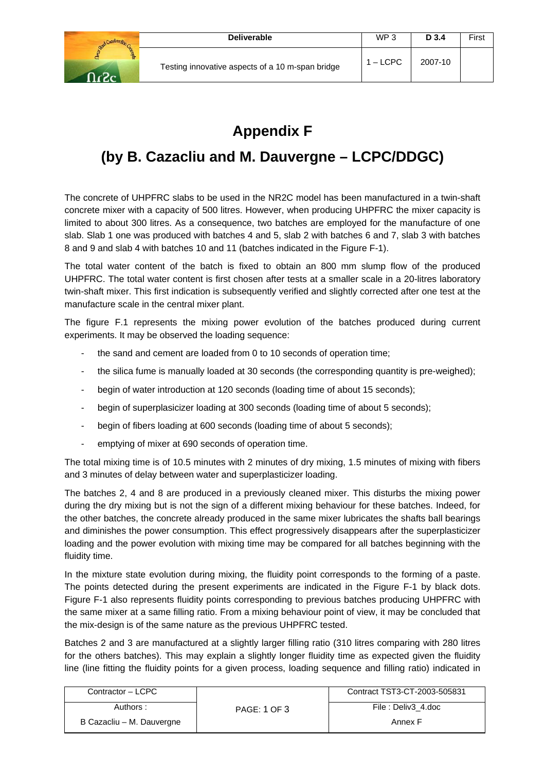

## **Appendix F**

## **(by B. Cazacliu and M. Dauvergne – LCPC/DDGC)**

The concrete of UHPFRC slabs to be used in the NR2C model has been manufactured in a twin-shaft concrete mixer with a capacity of 500 litres. However, when producing UHPFRC the mixer capacity is limited to about 300 litres. As a consequence, two batches are employed for the manufacture of one slab. Slab 1 one was produced with batches 4 and 5, slab 2 with batches 6 and 7, slab 3 with batches 8 and 9 and slab 4 with batches 10 and 11 (batches indicated in the Figure F-1).

The total water content of the batch is fixed to obtain an 800 mm slump flow of the produced UHPFRC. The total water content is first chosen after tests at a smaller scale in a 20-litres laboratory twin-shaft mixer. This first indication is subsequently verified and slightly corrected after one test at the manufacture scale in the central mixer plant.

The figure F.1 represents the mixing power evolution of the batches produced during current experiments. It may be observed the loading sequence:

- the sand and cement are loaded from 0 to 10 seconds of operation time;
- the silica fume is manually loaded at 30 seconds (the corresponding quantity is pre-weighed);
- begin of water introduction at 120 seconds (loading time of about 15 seconds);
- begin of superplasicizer loading at 300 seconds (loading time of about 5 seconds);
- begin of fibers loading at 600 seconds (loading time of about 5 seconds);
- emptying of mixer at 690 seconds of operation time.

The total mixing time is of 10.5 minutes with 2 minutes of dry mixing, 1.5 minutes of mixing with fibers and 3 minutes of delay between water and superplasticizer loading.

The batches 2, 4 and 8 are produced in a previously cleaned mixer. This disturbs the mixing power during the dry mixing but is not the sign of a different mixing behaviour for these batches. Indeed, for the other batches, the concrete already produced in the same mixer lubricates the shafts ball bearings and diminishes the power consumption. This effect progressively disappears after the superplasticizer loading and the power evolution with mixing time may be compared for all batches beginning with the fluidity time.

In the mixture state evolution during mixing, the fluidity point corresponds to the forming of a paste. The points detected during the present experiments are indicated in the Figure F-1 by black dots. Figure F-1 also represents fluidity points corresponding to previous batches producing UHPFRC with the same mixer at a same filling ratio. From a mixing behaviour point of view, it may be concluded that the mix-design is of the same nature as the previous UHPFRC tested.

Batches 2 and 3 are manufactured at a slightly larger filling ratio (310 litres comparing with 280 litres for the others batches). This may explain a slightly longer fluidity time as expected given the fluidity line (line fitting the fluidity points for a given process, loading sequence and filling ratio) indicated in

| Contractor - LCPC         |              | Contract TST3-CT-2003-505831 |
|---------------------------|--------------|------------------------------|
| Authors :                 | PAGE: 1 OF 3 | File: Deliv3 4.doc           |
| B Cazacliu - M. Dauvergne |              | Annex F                      |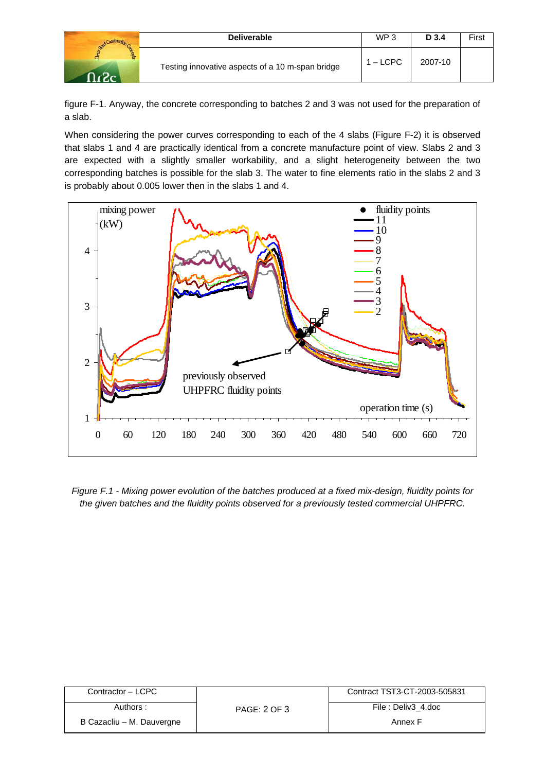|       | <b>Deliverable</b>                               | WP <sub>3</sub> | D 3.4   | First |
|-------|--------------------------------------------------|-----------------|---------|-------|
| . ന - | Testing innovative aspects of a 10 m-span bridge | $1 - L$ CPC     | 2007-10 |       |

figure F-1. Anyway, the concrete corresponding to batches 2 and 3 was not used for the preparation of a slab.

When considering the power curves corresponding to each of the 4 slabs (Figure F-2) it is observed that slabs 1 and 4 are practically identical from a concrete manufacture point of view. Slabs 2 and 3 are expected with a slightly smaller workability, and a slight heterogeneity between the two corresponding batches is possible for the slab 3. The water to fine elements ratio in the slabs 2 and 3 is probably about 0.005 lower then in the slabs 1 and 4.



*Figure F.1 - Mixing power evolution of the batches produced at a fixed mix-design, fluidity points for the given batches and the fluidity points observed for a previously tested commercial UHPFRC.* 

| Contractor - LCPC         | Authors:<br><b>PAGE: 2 OF 3</b> | Contract TST3-CT-2003-505831 |
|---------------------------|---------------------------------|------------------------------|
|                           |                                 | File: Deliv3 4.doc           |
| B Cazacliu – M. Dauvergne |                                 | Annex F                      |